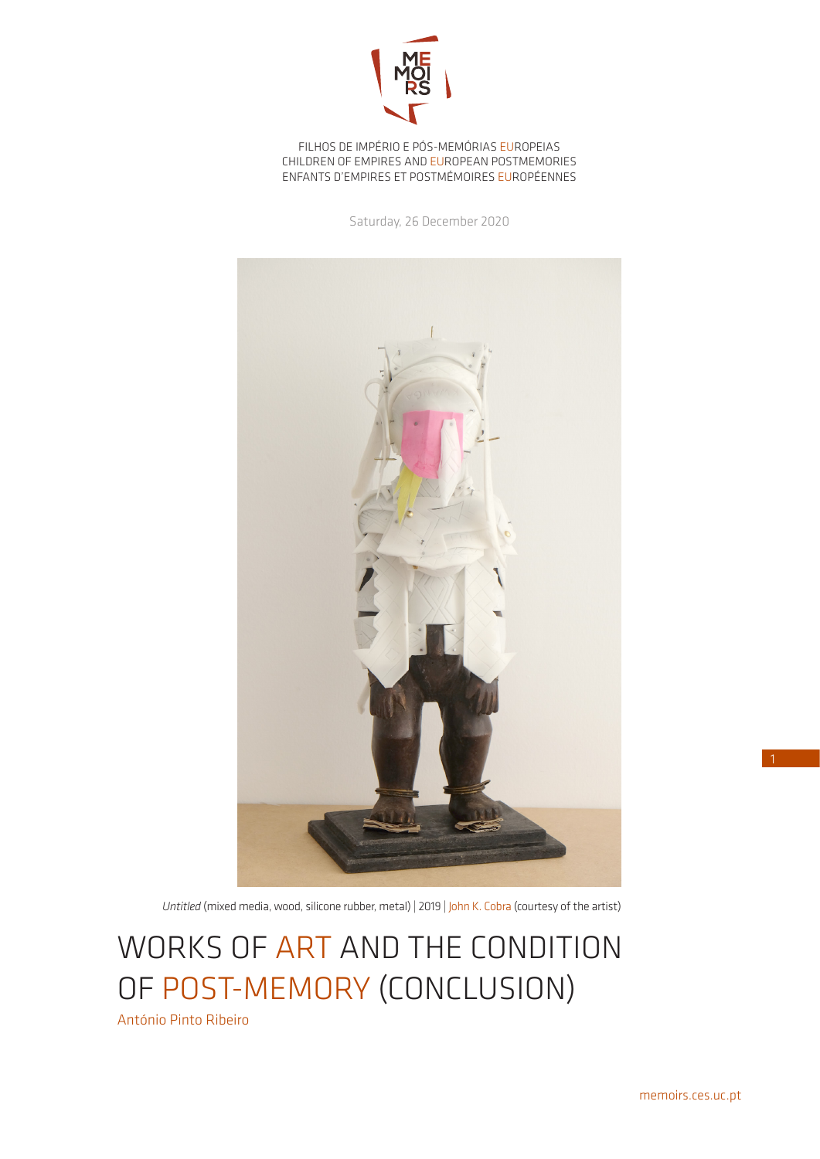

FILHOS DE IMPÉRIO E PÓS-MEMÓRIAS EUROPEIAS CHILDREN OF EMPIRES AND EUROPEAN POSTMEMORIES ENFANTS D'EMPIRES ET POSTMÉMOIRES EUROPÉENNES

Saturday, 26 December 2020



*Untitled* (mixed media, wood, silicone rubber, metal) | 2019 | John K. Cobra (courtesy of the artist)

WORKS OF ART AND THE CONDITION OF POST-MEMORY (CONCLUSION)

António Pinto Ribeiro

1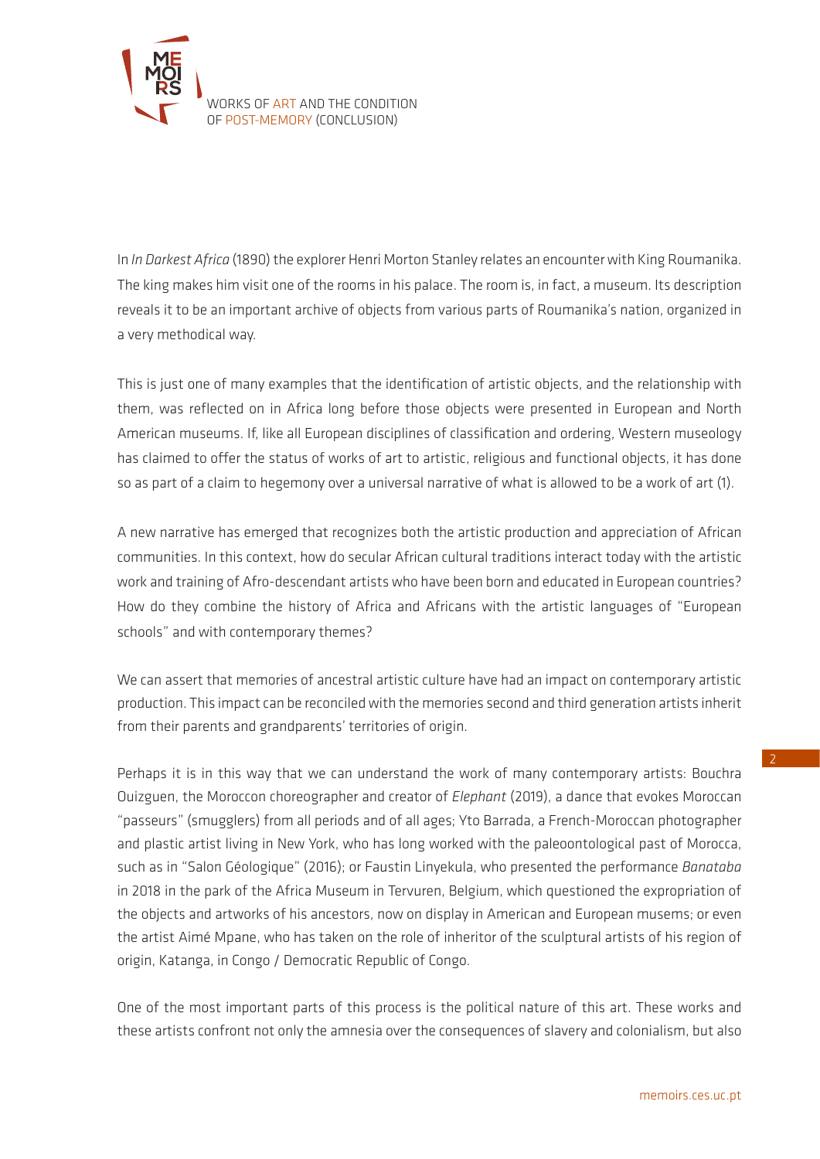

In *In Darkest Africa* (1890) the explorer Henri Morton Stanley relates an encounter with King Roumanika. The king makes him visit one of the rooms in his palace. The room is, in fact, a museum. Its description reveals it to be an important archive of objects from various parts of Roumanika's nation, organized in a very methodical way.

This is just one of many examples that the identification of artistic objects, and the relationship with them, was reflected on in Africa long before those objects were presented in European and North American museums. If, like all European disciplines of classification and ordering, Western museology has claimed to offer the status of works of art to artistic, religious and functional objects, it has done so as part of a claim to hegemony over a universal narrative of what is allowed to be a work of art (1).

A new narrative has emerged that recognizes both the artistic production and appreciation of African communities. In this context, how do secular African cultural traditions interact today with the artistic work and training of Afro-descendant artists who have been born and educated in European countries? How do they combine the history of Africa and Africans with the artistic languages of "European schools" and with contemporary themes?

We can assert that memories of ancestral artistic culture have had an impact on contemporary artistic production. This impact can be reconciled with the memories second and third generation artists inherit from their parents and grandparents' territories of origin.

Perhaps it is in this way that we can understand the work of many contemporary artists: Bouchra Ouizguen, the Moroccon choreographer and creator of *Elephant* (2019), a dance that evokes Moroccan "passeurs" (smugglers) from all periods and of all ages; Yto Barrada, a French-Moroccan photographer and plastic artist living in New York, who has long worked with the paleoontological past of Morocca, such as in "Salon Géologique" (2016); or Faustin Linyekula, who presented the performance *Banataba* in 2018 in the park of the Africa Museum in Tervuren, Belgium, which questioned the expropriation of the objects and artworks of his ancestors, now on display in American and European musems; or even the artist Aimé Mpane, who has taken on the role of inheritor of the sculptural artists of his region of origin, Katanga, in Congo / Democratic Republic of Congo.

One of the most important parts of this process is the political nature of this art. These works and these artists confront not only the amnesia over the consequences of slavery and colonialism, but also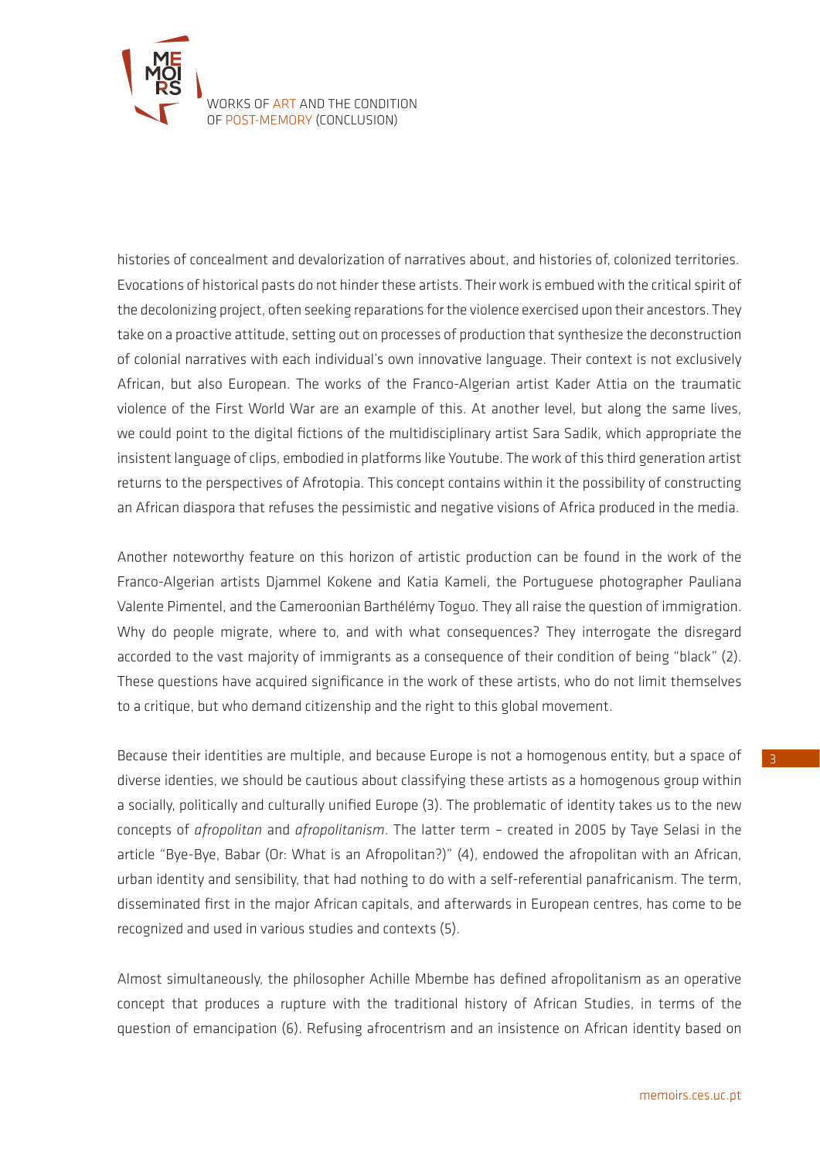

histories of concealment and devalorization of narratives about, and histories of, colonized territories. Evocations of historical pasts do not hinder these artists. Their work is embued with the critical spirit of the decolonizing project, often seeking reparations for the violence exercised upon their ancestors. They take on a proactive attitude, setting out on processes of production that synthesize the deconstruction of colonial narratives with each individual's own innovative language. Their context is not exclusively African, but also European. The works of the Franco-Algerian artist Kader Attia on the traumatic violence of the First World War are an example of this. At another level, but along the same lives, we could point to the digital fictions of the multidisciplinary artist Sara Sadik, which appropriate the insistent language of clips, embodied in platforms like Youtube. The work of this third generation artist returns to the perspectives of Afrotopia. This concept contains within it the possibility of constructing an African diaspora that refuses the pessimistic and negative visions of Africa produced in the media.

Another noteworthy feature on this horizon of artistic production can be found in the work of the Franco-Algerian artists Djammel Kokene and Katia Kameli, the Portuguese photographer Pauliana Valente Pimentel, and the Cameroonian Barthélémy Toguo. They all raise the question of immigration. Why do people migrate, where to, and with what consequences? They interrogate the disregard accorded to the vast majority of immigrants as a consequence of their condition of being "black" (2). These questions have acquired significance in the work of these artists, who do not limit themselves to a critique, but who demand citizenship and the right to this global movement.

Because their identities are multiple, and because Europe is not a homogenous entity, but a space of diverse identies, we should be cautious about classifying these artists as a homogenous group within a socially, politically and culturally unified Europe (3). The problematic of identity takes us to the new concepts of *afropolitan* and *afropolitanism*. The latter term – created in 2005 by Taye Selasi in the article "Bye-Bye, Babar (Or: What is an Afropolitan?)" (4), endowed the afropolitan with an African, urban identity and sensibility, that had nothing to do with a self-referential panafricanism. The term, disseminated first in the major African capitals, and afterwards in European centres, has come to be recognized and used in various studies and contexts (5).

Almost simultaneously, the philosopher Achille Mbembe has defined afropolitanism as an operative concept that produces a rupture with the traditional history of African Studies, in terms of the question of emancipation (6). Refusing afrocentrism and an insistence on African identity based on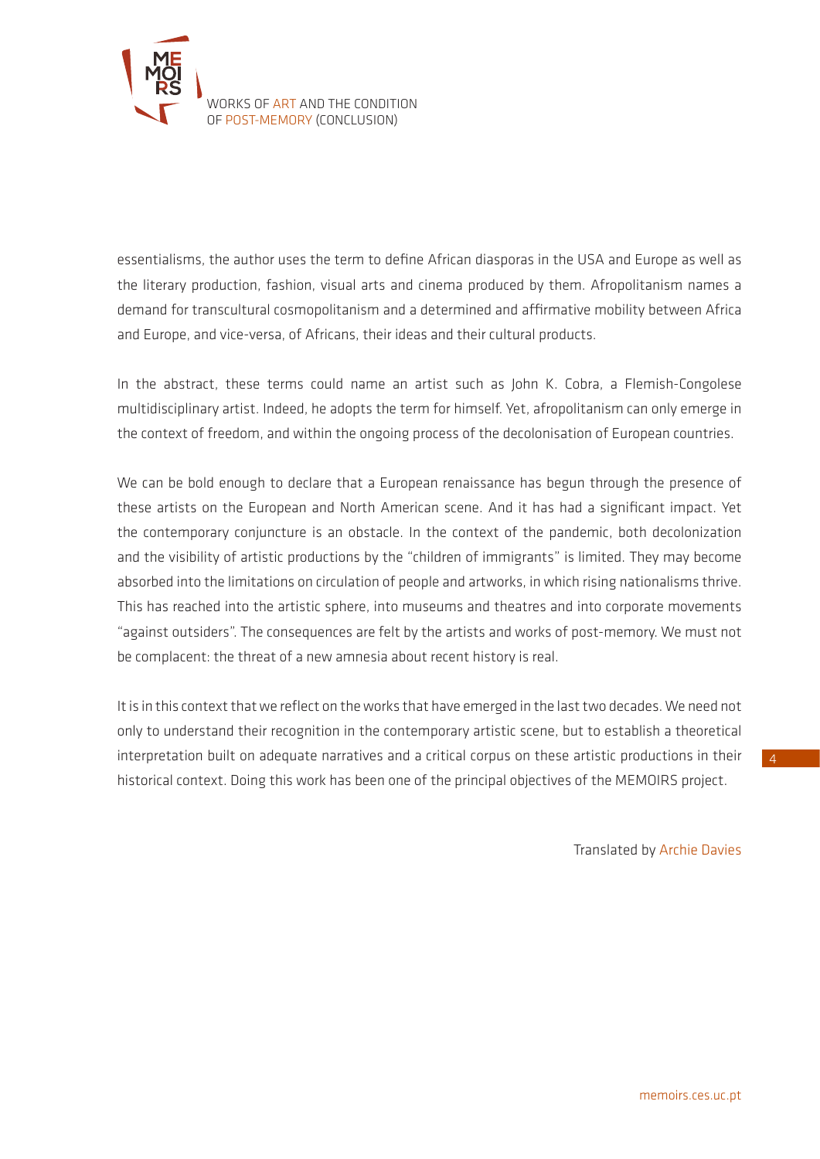

essentialisms, the author uses the term to define African diasporas in the USA and Europe as well as the literary production, fashion, visual arts and cinema produced by them. Afropolitanism names a demand for transcultural cosmopolitanism and a determined and affirmative mobility between Africa and Europe, and vice-versa, of Africans, their ideas and their cultural products.

In the abstract, these terms could name an artist such as John K. Cobra, a Flemish-Congolese multidisciplinary artist. Indeed, he adopts the term for himself. Yet, afropolitanism can only emerge in the context of freedom, and within the ongoing process of the decolonisation of European countries.

We can be bold enough to declare that a European renaissance has begun through the presence of these artists on the European and North American scene. And it has had a significant impact. Yet the contemporary conjuncture is an obstacle. In the context of the pandemic, both decolonization and the visibility of artistic productions by the "children of immigrants" is limited. They may become absorbed into the limitations on circulation of people and artworks, in which rising nationalisms thrive. This has reached into the artistic sphere, into museums and theatres and into corporate movements "against outsiders". The consequences are felt by the artists and works of post-memory. We must not be complacent: the threat of a new amnesia about recent history is real.

It is in this context that we reflect on the works that have emerged in the last two decades. We need not only to understand their recognition in the contemporary artistic scene, but to establish a theoretical interpretation built on adequate narratives and a critical corpus on these artistic productions in their historical context. Doing this work has been one of the principal objectives of the MEMOIRS project.

Translated by Archie Davies

4